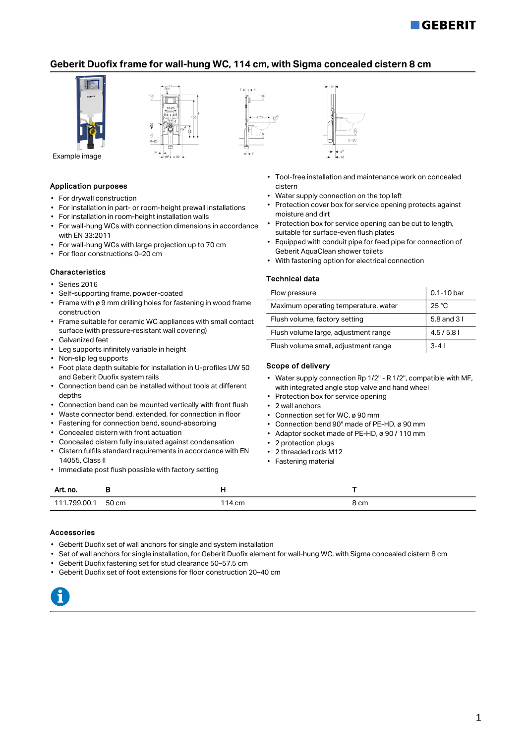# **GEBERIT**

## Geberit Duofix frame for wall-hung WC, 114 cm, with Sigma concealed cistern 8 cm





Example image

### Application purposes

- For drywall construction
- For installation in part- or room-height prewall installations
- For installation in room-height installation walls
- For wall-hung WCs with connection dimensions in accordance with EN 33:2011
- For wall-hung WCs with large projection up to 70 cm
- For floor constructions 0–20 cm

#### Characteristics

- Series 2016
- Self-supporting frame, powder-coated
- Frame with ø 9 mm drilling holes for fastening in wood frame construction
- Frame suitable for ceramic WC appliances with small contact surface (with pressure-resistant wall covering)
- Galvanized feet
- Leg supports infinitely variable in height
- Non-slip leg supports
- Foot plate depth suitable for installation in U-profiles UW 50 and Geberit Duofix system rails
- Connection bend can be installed without tools at different depths
- Connection bend can be mounted vertically with front flush
- Waste connector bend, extended, for connection in floor
- Fastening for connection bend, sound-absorbing
- Concealed cistern with front actuation
- Concealed cistern fully insulated against condensation
- Cistern fulfils standard requirements in accordance with EN 14055, Class II
- Immediate post flush possible with factory setting



- Tool-free installation and maintenance work on concealed cistern
- Water supply connection on the top left
- Protection cover box for service opening protects against moisture and dirt
- Protection box for service opening can be cut to length, suitable for surface-even flush plates
- Equipped with conduit pipe for feed pipe for connection of Geberit AquaClean shower toilets
- With fastening option for electrical connection

#### Technical data

| Flow pressure                        | 0.1-10 bar     |
|--------------------------------------|----------------|
| Maximum operating temperature, water | $25^{\circ}$ C |
| Flush volume, factory setting        | 5.8 and 31     |
| Flush volume large, adjustment range | 4.5/5.81       |
| Flush volume small, adjustment range | $3 - 41$       |

### Scope of delivery

- Water supply connection Rp 1/2" R 1/2", compatible with MF, with integrated angle stop valve and hand wheel
- Protection box for service opening
- 2 wall anchors
- Connection set for WC, ø 90 mm
- Connection bend 90° made of PE-HD, ø 90 mm
- Adaptor socket made of PE-HD, ø 90 / 110 mm
	- 2 protection plugs
	- 2 threaded rods M12
- Fastening material

| Art. no.               | . .        | .               | $\sim$<br>the contract of the con- |
|------------------------|------------|-----------------|------------------------------------|
| 111<br>700<br>.nn<br>. | 50 cm<br>. | $14 \text{ cm}$ | 8 cm                               |

#### Accessories

- Geberit Duofix set of wall anchors for single and system installation
- Set of wall anchors for single installation, for Geberit Duofix element for wall-hung WC, with Sigma concealed cistern 8 cm
- Geberit Duofix fastening set for stud clearance 50–57.5 cm
- Geberit Duofix set of foot extensions for floor construction 20–40 cm